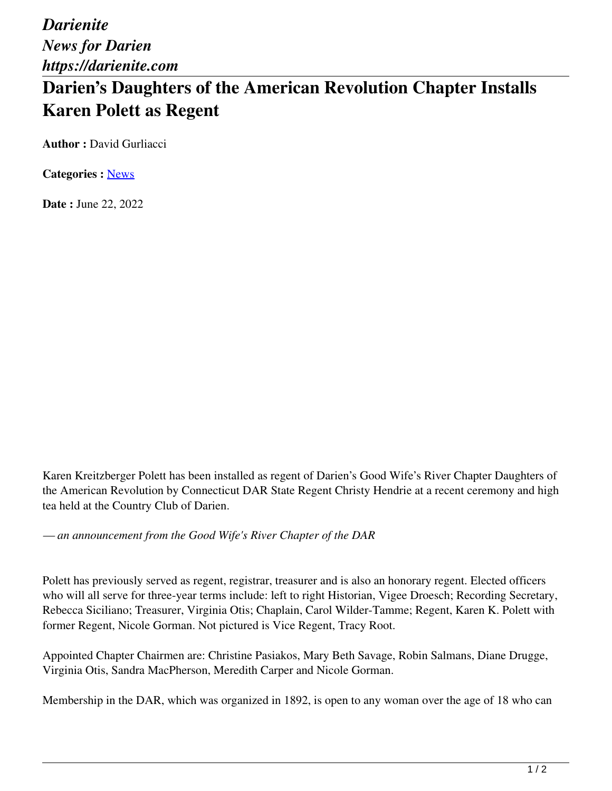*Darienite News for Darien https://darienite.com*

## **Darien's Daughters of the American Revolution Chapter Installs Karen Polett as Regent**

**Author :** David Gurliacci

**Categories :** [News](https://darienite.com/category/news)

**Date :** June 22, 2022

Karen Kreitzberger Polett has been installed as regent of Darien's Good Wife's River Chapter Daughters of the American Revolution by Connecticut DAR State Regent Christy Hendrie at a recent ceremony and high tea held at the Country Club of Darien.

*— an announcement from the Good Wife's River Chapter of the DAR*

Polett has previously served as regent, registrar, treasurer and is also an honorary regent. Elected officers who will all serve for three-year terms include: left to right Historian, Vigee Droesch; Recording Secretary, Rebecca Siciliano; Treasurer, Virginia Otis; Chaplain, Carol Wilder-Tamme; Regent, Karen K. Polett with former Regent, Nicole Gorman. Not pictured is Vice Regent, Tracy Root.

Appointed Chapter Chairmen are: Christine Pasiakos, Mary Beth Savage, Robin Salmans, Diane Drugge, Virginia Otis, Sandra MacPherson, Meredith Carper and Nicole Gorman.

Membership in the DAR, which was organized in 1892, is open to any woman over the age of 18 who can